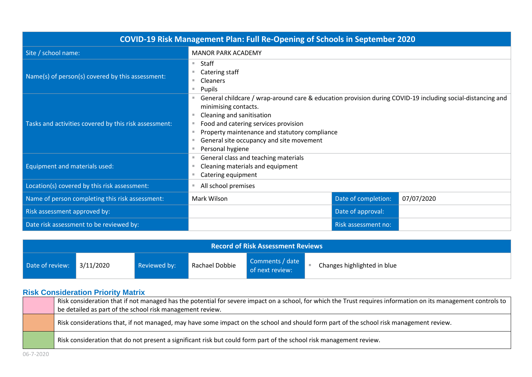| COVID-19 Risk Management Plan: Full Re-Opening of Schools in September 2020 |                                                                                                                                                                                                                                                                                                                          |                     |            |  |
|-----------------------------------------------------------------------------|--------------------------------------------------------------------------------------------------------------------------------------------------------------------------------------------------------------------------------------------------------------------------------------------------------------------------|---------------------|------------|--|
| Site / school name:                                                         | <b>MANOR PARK ACADEMY</b>                                                                                                                                                                                                                                                                                                |                     |            |  |
| Name(s) of person(s) covered by this assessment:                            | Staff<br>m.<br>Catering staff<br>Cleaners<br>٠<br>Pupils<br>m.                                                                                                                                                                                                                                                           |                     |            |  |
| Tasks and activities covered by this risk assessment:                       | General childcare / wrap-around care & education provision during COVID-19 including social-distancing and<br>minimising contacts.<br>Cleaning and sanitisation<br>Food and catering services provision<br>Property maintenance and statutory compliance<br>General site occupancy and site movement<br>Personal hygiene |                     |            |  |
| Equipment and materials used:                                               | General class and teaching materials<br>Cleaning materials and equipment<br>Catering equipment                                                                                                                                                                                                                           |                     |            |  |
| Location(s) covered by this risk assessment:                                | All school premises                                                                                                                                                                                                                                                                                                      |                     |            |  |
| Name of person completing this risk assessment:                             | Mark Wilson                                                                                                                                                                                                                                                                                                              | Date of completion: | 07/07/2020 |  |
| Risk assessment approved by:                                                |                                                                                                                                                                                                                                                                                                                          | Date of approval:   |            |  |
| Date risk assessment to be reviewed by:                                     |                                                                                                                                                                                                                                                                                                                          | Risk assessment no: |            |  |

| <b>Record of Risk Assessment Reviews</b> |  |              |                |                                    |                             |  |
|------------------------------------------|--|--------------|----------------|------------------------------------|-----------------------------|--|
| Date of review: 3/11/2020                |  | Reviewed by: | Rachael Dobbie | Comments / date<br>of next review: | Changes highlighted in blue |  |

## **Risk Consideration Priority Matrix**

| Risk consideration that if not managed has the potential for severe impact on a school, for which the Trust requires information on its management controls to<br>be detailed as part of the school risk management review. |
|-----------------------------------------------------------------------------------------------------------------------------------------------------------------------------------------------------------------------------|
| Risk considerations that, if not managed, may have some impact on the school and should form part of the school risk management review.                                                                                     |
| Risk consideration that do not present a significant risk but could form part of the school risk management review.                                                                                                         |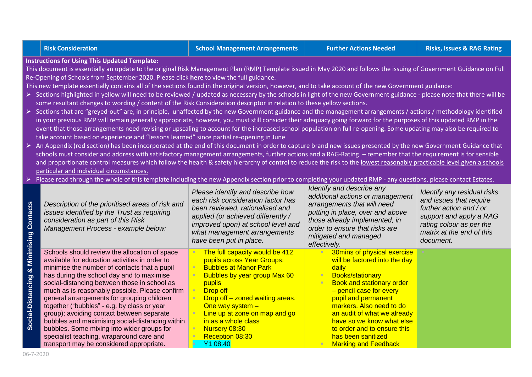**Instructions for Using This Updated Template:**

This document is essentially an update to the original Risk Management Plan (RMP) Template issued in May 2020 and follows the issuing of Government Guidance on Full Re-Opening of Schools from September 2020. Please click **[here](https://www.gov.uk/government/publications/actions-for-schools-during-the-coronavirus-outbreak/guidance-for-full-opening-schools#section-1-public-health-advice-to-minimise-coronavirus-covid-19-risks)** to view the full guidance.

This new template essentially contains all of the sections found in the original version, however, and to take account of the new Government guidance:

- $\triangleright$  Sections highlighted in yellow will need to be reviewed / updated as necessary by the schools in light of the new Government guidance please note that there will be some resultant changes to wording / content of the Risk Consideration descriptor in relation to these yellow sections.
- ➢ Sections that are "greyed-out" are, in principle, unaffected by the new Government guidance and the management arrangements / actions / methodology identified in your previous RMP will remain generally appropriate, however, you must still consider their adequacy going forward for the purposes of this updated RMP in the event that those arrangements need revising or upscaling to account for the increased school population on full re-opening. Some updating may also be required to take account based on experience and "lessons learned" since partial re-opening in June
- ➢ An Appendix (red section) has been incorporated at the end of this document in order to capture brand new issues presented by the new Government Guidance that schools must consider and address with satisfactory management arrangements, further actions and a RAG-Rating. – remember that the requirement is for sensible and proportionate control measures which follow the health & safety hierarchy of control to reduce the risk to the lowest reasonably practicable level given a schools particular and individual circumstances.
- Please read through the whole of this template including the new Appendix section prior to completing your updated RMP any questions, please contact Estates.

| <b>CtS</b><br>onta<br>ن                  | Description of the prioritised areas of risk and<br>issues identified by the Trust as requiring<br>consideration as part of this Risk<br>Management Process - example below:                                                                                                                                                                                                                                                                                                                                                                                                                                                      | Please identify and describe how<br>each risk consideration factor has<br>been reviewed, rationalised and<br>applied (or achieved differently /<br>improved upon) at school level and<br>what management arrangements<br>have been put in place.                                                                           | Identify and describe any<br>additional actions or management<br>arrangements that will need<br>putting in place, over and above<br>those already implemented, in<br>order to ensure that risks are<br>mitigated and managed<br>effectively.                                                                                                                       | Identify any residual risks<br>and issues that require<br>further action and / or<br>support and apply a RAG<br>rating colour as per the<br>matrix at the end of this<br>document. |
|------------------------------------------|-----------------------------------------------------------------------------------------------------------------------------------------------------------------------------------------------------------------------------------------------------------------------------------------------------------------------------------------------------------------------------------------------------------------------------------------------------------------------------------------------------------------------------------------------------------------------------------------------------------------------------------|----------------------------------------------------------------------------------------------------------------------------------------------------------------------------------------------------------------------------------------------------------------------------------------------------------------------------|--------------------------------------------------------------------------------------------------------------------------------------------------------------------------------------------------------------------------------------------------------------------------------------------------------------------------------------------------------------------|------------------------------------------------------------------------------------------------------------------------------------------------------------------------------------|
| Minim<br>٥ð<br>cing<br>ocial-Distan<br>Ŵ | Schools should review the allocation of space<br>available for education activities in order to<br>minimise the number of contacts that a pupil<br>has during the school day and to maximise<br>social-distancing between those in school as<br>much as is reasonably possible. Please confirm<br>general arrangements for grouping children<br>together ("bubbles" - e.g. by class or year<br>group); avoiding contact between separate<br>bubbles and maximising social-distancing within<br>bubbles. Some mixing into wider groups for<br>specialist teaching, wraparound care and<br>transport may be considered appropriate. | The full capacity would be 412<br>pupils across Year Groups:<br><b>Bubbles at Manor Park</b><br><b>Bubbles by year group Max 60</b><br>pupils<br>Drop off<br>Drop off – zoned waiting areas.<br>One way system $-$<br>Line up at zone on map and go<br>in as a whole class<br>Nursery 08:30<br>Reception 08:30<br>Y1 08:40 | 30mins of physical exercise<br>will be factored into the day<br>daily<br><b>Books/stationary</b><br><b>Book and stationary order</b><br>- pencil case for every<br>pupil and permanent<br>markers. Also need to do<br>an audit of what we already<br>have so we know what else<br>to order and to ensure this<br>has been sanitized<br><b>Marking and Feedback</b> |                                                                                                                                                                                    |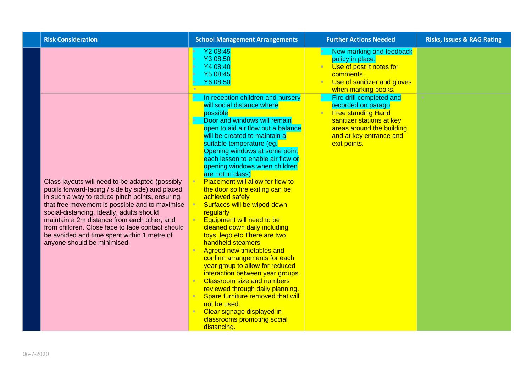| <b>Risk Consideration</b>                                                                                                                                                                                                                                                                                                                                                                                                             | <b>School Management Arrangements</b>                                                                                                                                                                                                                                                                                                                                                                                                                                                                                                                                                                                                                                                                                                                                                                                                                                                                                                              | <b>Further Actions Needed</b>                                                                                                                                                    | <b>Risks, Issues &amp; RAG Rating</b> |
|---------------------------------------------------------------------------------------------------------------------------------------------------------------------------------------------------------------------------------------------------------------------------------------------------------------------------------------------------------------------------------------------------------------------------------------|----------------------------------------------------------------------------------------------------------------------------------------------------------------------------------------------------------------------------------------------------------------------------------------------------------------------------------------------------------------------------------------------------------------------------------------------------------------------------------------------------------------------------------------------------------------------------------------------------------------------------------------------------------------------------------------------------------------------------------------------------------------------------------------------------------------------------------------------------------------------------------------------------------------------------------------------------|----------------------------------------------------------------------------------------------------------------------------------------------------------------------------------|---------------------------------------|
|                                                                                                                                                                                                                                                                                                                                                                                                                                       | Y2 08:45<br>Y3 08:50<br>Y4 08:40<br>Y5 08:45<br>Y6 08:50                                                                                                                                                                                                                                                                                                                                                                                                                                                                                                                                                                                                                                                                                                                                                                                                                                                                                           | New marking and feedback<br>policy in place<br>Use of post it notes for<br>'n<br>comments.<br>Use of sanitizer and gloves<br>when marking books.                                 |                                       |
| Class layouts will need to be adapted (possibly<br>pupils forward-facing / side by side) and placed<br>in such a way to reduce pinch points, ensuring<br>that free movement is possible and to maximise<br>social-distancing. Ideally, adults should<br>maintain a 2m distance from each other, and<br>from children. Close face to face contact should<br>be avoided and time spent within 1 metre of<br>anyone should be minimised. | In reception children and nursery<br>will social distance where<br>possible<br>Door and windows will remain<br>open to aid air flow but a balance<br>will be created to maintain a<br>suitable temperature (eg.<br>Opening windows at some point<br>each lesson to enable air flow or<br>opening windows when children<br>are not in class)<br>Placement will allow for flow to<br>the door so fire exiting can be<br>achieved safely<br>Surfaces will be wiped down<br>regularly<br>Equipment will need to be<br>cleaned down daily including<br>toys, lego etc There are two<br>handheld steamers<br>Agreed new timetables and<br>confirm arrangements for each<br>year group to allow for reduced<br>interaction between year groups.<br><b>Classroom size and numbers</b><br>reviewed through daily planning.<br>Spare furniture removed that will<br>not be used.<br>Clear signage displayed in<br>classrooms promoting social<br>distancing. | Fire drill completed and<br>recorded on parago<br><b>Free standing Hand</b><br>sanitizer stations at key<br>areas around the building<br>and at key entrance and<br>exit points. |                                       |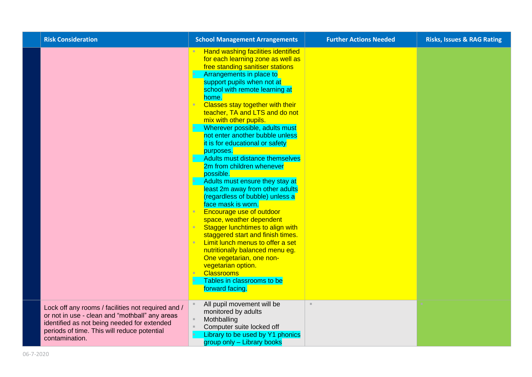| <b>Risk Consideration</b>                                                                                                                                                                                            | <b>School Management Arrangements</b>                                                                                                                                                                                                                                                                                                                                                                                                                                                                                                                                                                                                                                                                                                                                                                                                                                                                                                                                                                | <b>Further Actions Needed</b> | <b>Risks, Issues &amp; RAG Rating</b> |
|----------------------------------------------------------------------------------------------------------------------------------------------------------------------------------------------------------------------|------------------------------------------------------------------------------------------------------------------------------------------------------------------------------------------------------------------------------------------------------------------------------------------------------------------------------------------------------------------------------------------------------------------------------------------------------------------------------------------------------------------------------------------------------------------------------------------------------------------------------------------------------------------------------------------------------------------------------------------------------------------------------------------------------------------------------------------------------------------------------------------------------------------------------------------------------------------------------------------------------|-------------------------------|---------------------------------------|
|                                                                                                                                                                                                                      | Hand washing facilities identified<br>for each learning zone as well as<br>free standing sanitiser stations<br>Arrangements in place to<br>support pupils when not at<br>school with remote learning at<br>home.<br><b>Classes stay together with their</b><br>teacher, TA and LTS and do not<br>mix with other pupils.<br>Wherever possible, adults must<br>not enter another bubble unless<br>it is for educational or safety<br>purposes.<br>Adults must distance themselves<br>2m from children whenever<br>possible.<br>Adults must ensure they stay at<br>least 2m away from other adults<br>(regardless of bubble) unless a<br>face mask is worn.<br><b>Encourage use of outdoor</b><br>×<br>space, weather dependent<br>Stagger lunchtimes to align with<br>staggered start and finish times.<br>Limit lunch menus to offer a set<br>nutritionally balanced menu eg.<br>One vegetarian, one non-<br>vegetarian option.<br><b>Classrooms</b><br>Tables in classrooms to be<br>forward facing. |                               |                                       |
| Lock off any rooms / facilities not required and /<br>or not in use - clean and "mothball" any areas<br>identified as not being needed for extended<br>periods of time. This will reduce potential<br>contamination. | All pupil movement will be<br>monitored by adults<br>Mothballing<br>Computer suite locked off<br>Library to be used by Y1 phonics<br>group only - Library books                                                                                                                                                                                                                                                                                                                                                                                                                                                                                                                                                                                                                                                                                                                                                                                                                                      | $\mathbb{R}^+$                |                                       |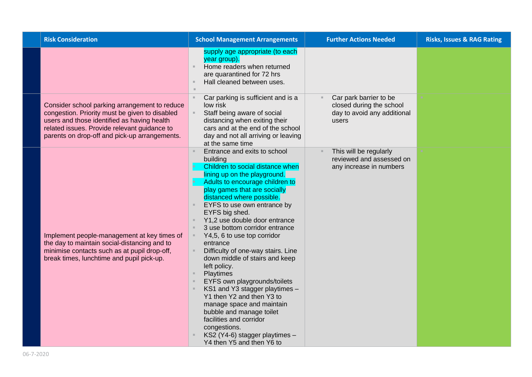| <b>Risk Consideration</b>                                                                                                                                                                                                                       | <b>Further Actions Needed</b><br><b>School Management Arrangements</b>                                                                                                                                                                                                                                                                                                                                                                                                                                                                                                                                                                                                                                                                                                                                                                   | <b>Risks, Issues &amp; RAG Rating</b> |
|-------------------------------------------------------------------------------------------------------------------------------------------------------------------------------------------------------------------------------------------------|------------------------------------------------------------------------------------------------------------------------------------------------------------------------------------------------------------------------------------------------------------------------------------------------------------------------------------------------------------------------------------------------------------------------------------------------------------------------------------------------------------------------------------------------------------------------------------------------------------------------------------------------------------------------------------------------------------------------------------------------------------------------------------------------------------------------------------------|---------------------------------------|
|                                                                                                                                                                                                                                                 | supply age appropriate (to each<br>year group).<br>Home readers when returned<br>are quarantined for 72 hrs<br>Hall cleaned between uses.                                                                                                                                                                                                                                                                                                                                                                                                                                                                                                                                                                                                                                                                                                |                                       |
| Consider school parking arrangement to reduce<br>congestion. Priority must be given to disabled<br>users and those identified as having health<br>related issues. Provide relevant guidance to<br>parents on drop-off and pick-up arrangements. | Car parking is sufficient and is a<br>Car park barrier to be<br>$\blacksquare$<br>closed during the school<br>low risk<br>Staff being aware of social<br>day to avoid any additional<br>distancing when exiting their<br>users<br>cars and at the end of the school<br>day and not all arriving or leaving<br>at the same time                                                                                                                                                                                                                                                                                                                                                                                                                                                                                                           |                                       |
| Implement people-management at key times of<br>the day to maintain social-distancing and to<br>minimise contacts such as at pupil drop-off,<br>break times, lunchtime and pupil pick-up.                                                        | Entrance and exits to school<br>This will be regularly<br>reviewed and assessed on<br>building<br>Children to social distance when<br>any increase in numbers<br>lining up on the playground.<br>Adults to encourage children to<br>play games that are socially<br>distanced where possible.<br>EYFS to use own entrance by<br>EYFS big shed.<br>Y1,2 use double door entrance<br>3 use bottom corridor entrance<br>Y4,5, 6 to use top corridor<br>ш<br>entrance<br>Difficulty of one-way stairs. Line<br>down middle of stairs and keep<br>left policy.<br>Playtimes<br>EYFS own playgrounds/toilets<br>KS1 and Y3 stagger playtimes -<br>Y1 then Y2 and then Y3 to<br>manage space and maintain<br>bubble and manage toilet<br>facilities and corridor<br>congestions.<br>KS2 (Y4-6) stagger playtimes -<br>Y4 then Y5 and then Y6 to |                                       |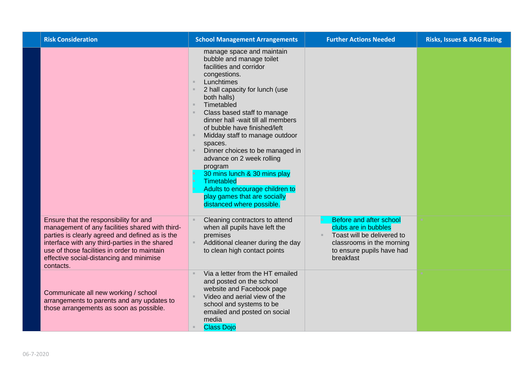| <b>Risk Consideration</b>                                                                                                                                                                                                                                                                               | <b>School Management Arrangements</b>                                                                                                                                                                                                                                                                                                                                                                                                                                                                                                                                                      | <b>Further Actions Needed</b>                                                                                                                        | <b>Risks, Issues &amp; RAG Rating</b> |
|---------------------------------------------------------------------------------------------------------------------------------------------------------------------------------------------------------------------------------------------------------------------------------------------------------|--------------------------------------------------------------------------------------------------------------------------------------------------------------------------------------------------------------------------------------------------------------------------------------------------------------------------------------------------------------------------------------------------------------------------------------------------------------------------------------------------------------------------------------------------------------------------------------------|------------------------------------------------------------------------------------------------------------------------------------------------------|---------------------------------------|
|                                                                                                                                                                                                                                                                                                         | manage space and maintain<br>bubble and manage toilet<br>facilities and corridor<br>congestions.<br>Lunchtimes<br>$\mathbb{R}^2$<br>2 hall capacity for lunch (use<br>both halls)<br>Timetabled<br>$\mathbb{R}$<br>Class based staff to manage<br>dinner hall -wait till all members<br>of bubble have finished/left<br>Midday staff to manage outdoor<br>spaces.<br>Dinner choices to be managed in<br>advance on 2 week rolling<br>program<br>30 mins lunch & 30 mins play<br>Timetabled<br>Adults to encourage children to<br>play games that are socially<br>distanced where possible. |                                                                                                                                                      |                                       |
| Ensure that the responsibility for and<br>management of any facilities shared with third-<br>parties is clearly agreed and defined as is the<br>interface with any third-parties in the shared<br>use of those facilities in order to maintain<br>effective social-distancing and minimise<br>contacts. | Cleaning contractors to attend<br>when all pupils have left the<br>premises<br>Additional cleaner during the day<br>to clean high contact points                                                                                                                                                                                                                                                                                                                                                                                                                                           | Before and after school<br>clubs are in bubbles<br>Toast will be delivered to<br>classrooms in the morning<br>to ensure pupils have had<br>breakfast |                                       |
| Communicate all new working / school<br>arrangements to parents and any updates to<br>those arrangements as soon as possible.                                                                                                                                                                           | Via a letter from the HT emailed<br>$\mathbb{R}^n$<br>and posted on the school<br>website and Facebook page<br>Video and aerial view of the<br>school and systems to be<br>emailed and posted on social<br>media<br><b>Class Dojo</b>                                                                                                                                                                                                                                                                                                                                                      |                                                                                                                                                      |                                       |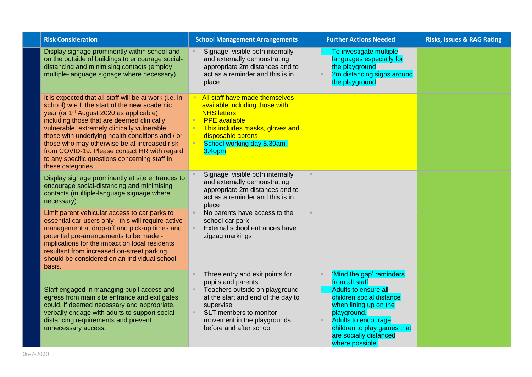| <b>Risk Consideration</b>                                                                                                                                                                                                                                                                                                                                                                                                                                                             | <b>School Management Arrangements</b>                                                                                                                                                                                                            | <b>Further Actions Needed</b>                                                                                                                                                                                                                    | <b>Risks, Issues &amp; RAG Rating</b> |
|---------------------------------------------------------------------------------------------------------------------------------------------------------------------------------------------------------------------------------------------------------------------------------------------------------------------------------------------------------------------------------------------------------------------------------------------------------------------------------------|--------------------------------------------------------------------------------------------------------------------------------------------------------------------------------------------------------------------------------------------------|--------------------------------------------------------------------------------------------------------------------------------------------------------------------------------------------------------------------------------------------------|---------------------------------------|
| Display signage prominently within school and<br>on the outside of buildings to encourage social-<br>distancing and minimising contacts (employ<br>multiple-language signage where necessary).                                                                                                                                                                                                                                                                                        | Signage visible both internally<br>and externally demonstrating<br>appropriate 2m distances and to<br>act as a reminder and this is in<br>place                                                                                                  | To investigate multiple<br><b>I</b><br>languages especially for<br>the playground<br>2m distancing signs around<br>the playground                                                                                                                |                                       |
| It is expected that all staff will be at work (i.e. in<br>school) w.e.f. the start of the new academic<br>year (or 1 <sup>st</sup> August 2020 as applicable)<br>including those that are deemed clinically<br>vulnerable, extremely clinically vulnerable,<br>those with underlying health conditions and / or<br>those who may otherwise be at increased risk<br>from COVID-19. Please contact HR with regard<br>to any specific questions concerning staff in<br>these categories. | All staff have made themselves<br>available including those with<br><b>NHS letters</b><br><b>PPE</b> available<br>This includes masks, gloves and<br>disposable aprons<br>School working day 8.30am-<br>3.40pm                                   |                                                                                                                                                                                                                                                  |                                       |
| Display signage prominently at site entrances to<br>encourage social-distancing and minimising<br>contacts (multiple-language signage where<br>necessary).                                                                                                                                                                                                                                                                                                                            | Signage visible both internally<br>and externally demonstrating<br>appropriate 2m distances and to<br>act as a reminder and this is in<br>place                                                                                                  | $\mathcal{H}$ .                                                                                                                                                                                                                                  |                                       |
| Limit parent vehicular access to car parks to<br>essential car-users only - this will require active<br>management at drop-off and pick-up times and<br>potential pre-arrangements to be made -<br>implications for the impact on local residents<br>resultant from increased on-street parking<br>should be considered on an individual school<br>basis.                                                                                                                             | No parents have access to the<br>school car park<br>External school entrances have<br>zigzag markings                                                                                                                                            | $\mathbb{R}^2$                                                                                                                                                                                                                                   |                                       |
| Staff engaged in managing pupil access and<br>egress from main site entrance and exit gates<br>could, if deemed necessary and appropriate,<br>verbally engage with adults to support social-<br>distancing requirements and prevent<br>unnecessary access.                                                                                                                                                                                                                            | Three entry and exit points for<br>pupils and parents<br>Teachers outside on playground<br>at the start and end of the day to<br>supervise<br>SLT members to monitor<br>$\mathbb{R}^n$<br>movement in the playgrounds<br>before and after school | 'Mind the gap' reminders<br>from all staff<br>Adults to ensure all<br>children social distance<br>when lining up on the<br>playground.<br><b>Adults to encourage</b><br>children to play games that<br>are socially distanced<br>where possible. |                                       |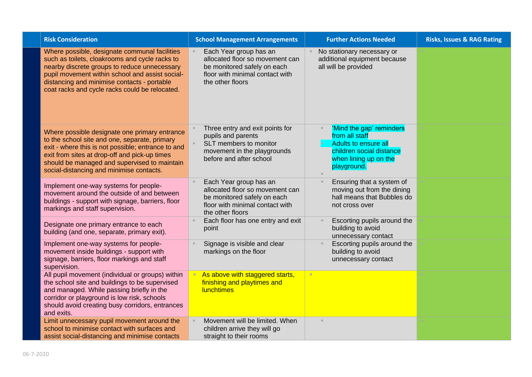| <b>Risk Consideration</b>                                                                                                                                                                                                                                                                           | <b>School Management Arrangements</b>                                                                                                           | <b>Further Actions Needed</b>                                                                                                          | <b>Risks, Issues &amp; RAG Rating</b> |
|-----------------------------------------------------------------------------------------------------------------------------------------------------------------------------------------------------------------------------------------------------------------------------------------------------|-------------------------------------------------------------------------------------------------------------------------------------------------|----------------------------------------------------------------------------------------------------------------------------------------|---------------------------------------|
| Where possible, designate communal facilities<br>such as toilets, cloakrooms and cycle racks to<br>nearby discrete groups to reduce unnecessary<br>pupil movement within school and assist social-<br>distancing and minimise contacts - portable<br>coat racks and cycle racks could be relocated. | Each Year group has an<br>allocated floor so movement can<br>be monitored safely on each<br>floor with minimal contact with<br>the other floors | No stationary necessary or<br>additional equipment because<br>all will be provided                                                     |                                       |
| Where possible designate one primary entrance<br>to the school site and one, separate, primary<br>exit - where this is not possible; entrance to and<br>exit from sites at drop-off and pick-up times<br>should be managed and supervised to maintain<br>social-distancing and minimise contacts.   | Three entry and exit points for<br>pupils and parents<br>SLT members to monitor<br>movement in the playgrounds<br>before and after school       | 'Mind the gap' reminders<br>from all staff<br>Adults to ensure all<br>children social distance<br>when lining up on the<br>playground. |                                       |
| Implement one-way systems for people-<br>movement around the outside of and between<br>buildings - support with signage, barriers, floor<br>markings and staff supervision.                                                                                                                         | Each Year group has an<br>allocated floor so movement can<br>be monitored safely on each<br>floor with minimal contact with<br>the other floors | Ensuring that a system of<br>moving out from the dining<br>hall means that Bubbles do<br>not cross over                                |                                       |
| Designate one primary entrance to each<br>building (and one, separate, primary exit).                                                                                                                                                                                                               | Each floor has one entry and exit<br>point                                                                                                      | Escorting pupils around the<br>building to avoid<br>unnecessary contact                                                                |                                       |
| Implement one-way systems for people-<br>movement inside buildings - support with<br>signage, barriers, floor markings and staff<br>supervision.                                                                                                                                                    | Signage is visible and clear<br>markings on the floor                                                                                           | Escorting pupils around the<br>building to avoid<br>unnecessary contact                                                                |                                       |
| All pupil movement (individual or groups) within<br>the school site and buildings to be supervised<br>and managed. While passing briefly in the<br>corridor or playground is low risk, schools<br>should avoid creating busy corridors, entrances<br>and exits.                                     | As above with staggered starts,<br>finishing and playtimes and<br><b>lunchtimes</b>                                                             | ٠                                                                                                                                      |                                       |
| Limit unnecessary pupil movement around the<br>school to minimise contact with surfaces and<br>assist social-distancing and minimise contacts                                                                                                                                                       | Movement will be limited. When<br>children arrive they will go<br>straight to their rooms                                                       |                                                                                                                                        |                                       |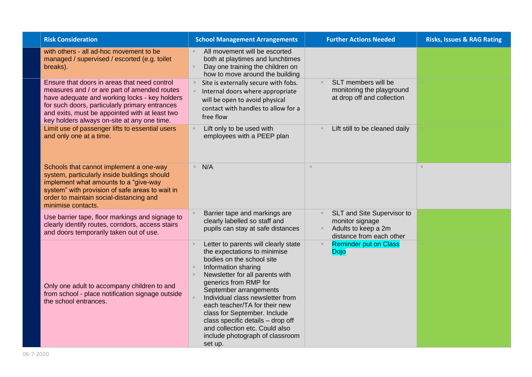| <b>Risk Consideration</b>                                                                                                                                                                                                                                                                        | <b>School Management Arrangements</b>                                                                                                                                                                                                                                                                                                                                                                                                    | <b>Further Actions Needed</b>                                                                    | <b>Risks, Issues &amp; RAG Rating</b> |
|--------------------------------------------------------------------------------------------------------------------------------------------------------------------------------------------------------------------------------------------------------------------------------------------------|------------------------------------------------------------------------------------------------------------------------------------------------------------------------------------------------------------------------------------------------------------------------------------------------------------------------------------------------------------------------------------------------------------------------------------------|--------------------------------------------------------------------------------------------------|---------------------------------------|
| with others - all ad-hoc movement to be<br>managed / supervised / escorted (e.g. toilet<br>breaks).                                                                                                                                                                                              | All movement will be escorted<br>both at playtimes and lunchtimes<br>Day one training the children on<br>how to move around the building                                                                                                                                                                                                                                                                                                 |                                                                                                  |                                       |
| Ensure that doors in areas that need control<br>measures and / or are part of amended routes<br>have adequate and working locks - key holders<br>for such doors, particularly primary entrances<br>and exits, must be appointed with at least two<br>key holders always on-site at any one time. | Site is externally secure with fobs.<br>Internal doors where appropriate<br>will be open to avoid physical<br>contact with handles to allow for a<br>free flow                                                                                                                                                                                                                                                                           | SLT members will be<br>monitoring the playground<br>at drop off and collection                   |                                       |
| Limit use of passenger lifts to essential users<br>and only one at a time.                                                                                                                                                                                                                       | Lift only to be used with<br>employees with a PEEP plan                                                                                                                                                                                                                                                                                                                                                                                  | Lift still to be cleaned daily                                                                   |                                       |
| Schools that cannot implement a one-way<br>system, particularly inside buildings should<br>implement what amounts to a "give-way<br>system" with provision of safe areas to wait in<br>order to maintain social-distancing and<br>minimise contacts.                                             | N/A                                                                                                                                                                                                                                                                                                                                                                                                                                      | $\mathbb{R}^n$                                                                                   | $\mathbb{R}^n$                        |
| Use barrier tape, floor markings and signage to<br>clearly identify routes, corridors, access stairs<br>and doors temporarily taken out of use.                                                                                                                                                  | Barrier tape and markings are<br>clearly labelled so staff and<br>pupils can stay at safe distances                                                                                                                                                                                                                                                                                                                                      | SLT and Site Supervisor to<br>monitor signage<br>Adults to keep a 2m<br>distance from each other |                                       |
| Only one adult to accompany children to and<br>from school - place notification signage outside<br>the school entrances.                                                                                                                                                                         | Letter to parents will clearly state<br>the expectations to minimise<br>bodies on the school site<br>Information sharing<br>Newsletter for all parents with<br>generics from RMP for<br>September arrangements<br>Individual class newsletter from<br>each teacher/TA for their new<br>class for September. Include<br>class specific details - drop off<br>and collection etc. Could also<br>include photograph of classroom<br>set up. | <b>Reminder put on Class</b><br><b>Dojo</b>                                                      |                                       |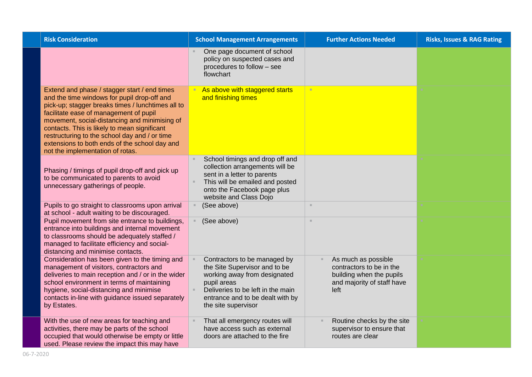| <b>Risk Consideration</b>                                                                                                                                                                                                                                                                                                                                                                                                         | <b>School Management Arrangements</b>                                                                                                                                                                        | <b>Further Actions Needed</b>                                                                                     | <b>Risks, Issues &amp; RAG Rating</b> |
|-----------------------------------------------------------------------------------------------------------------------------------------------------------------------------------------------------------------------------------------------------------------------------------------------------------------------------------------------------------------------------------------------------------------------------------|--------------------------------------------------------------------------------------------------------------------------------------------------------------------------------------------------------------|-------------------------------------------------------------------------------------------------------------------|---------------------------------------|
|                                                                                                                                                                                                                                                                                                                                                                                                                                   | One page document of school<br>policy on suspected cases and<br>procedures to follow - see<br>flowchart                                                                                                      |                                                                                                                   |                                       |
| Extend and phase / stagger start / end times<br>and the time windows for pupil drop-off and<br>pick-up; stagger breaks times / lunchtimes all to<br>facilitate ease of management of pupil<br>movement, social-distancing and minimising of<br>contacts. This is likely to mean significant<br>restructuring to the school day and / or time<br>extensions to both ends of the school day and<br>not the implementation of rotas. | As above with staggered starts<br>and finishing times                                                                                                                                                        | ٠                                                                                                                 |                                       |
| Phasing / timings of pupil drop-off and pick up<br>to be communicated to parents to avoid<br>unnecessary gatherings of people.                                                                                                                                                                                                                                                                                                    | School timings and drop off and<br>collection arrangements will be<br>sent in a letter to parents<br>This will be emailed and posted<br>onto the Facebook page plus<br>website and Class Dojo                |                                                                                                                   |                                       |
| Pupils to go straight to classrooms upon arrival<br>at school - adult waiting to be discouraged.                                                                                                                                                                                                                                                                                                                                  | (See above)                                                                                                                                                                                                  | $\mathcal{H}$ .                                                                                                   |                                       |
| Pupil movement from site entrance to buildings,<br>entrance into buildings and internal movement<br>to classrooms should be adequately staffed /<br>managed to facilitate efficiency and social-<br>distancing and minimise contacts.                                                                                                                                                                                             | (See above)                                                                                                                                                                                                  | $\mathcal{H}$ .                                                                                                   |                                       |
| Consideration has been given to the timing and<br>management of visitors, contractors and<br>deliveries to main reception and / or in the wider<br>school environment in terms of maintaining<br>hygiene, social-distancing and minimise<br>contacts in-line with guidance issued separately<br>by Estates.                                                                                                                       | Contractors to be managed by<br>the Site Supervisor and to be<br>working away from designated<br>pupil areas<br>Deliveries to be left in the main<br>entrance and to be dealt with by<br>the site supervisor | As much as possible<br>contractors to be in the<br>building when the pupils<br>and majority of staff have<br>left |                                       |
| With the use of new areas for teaching and<br>activities, there may be parts of the school<br>occupied that would otherwise be empty or little<br>used. Please review the impact this may have                                                                                                                                                                                                                                    | That all emergency routes will<br>have access such as external<br>doors are attached to the fire                                                                                                             | Routine checks by the site<br>supervisor to ensure that<br>routes are clear                                       |                                       |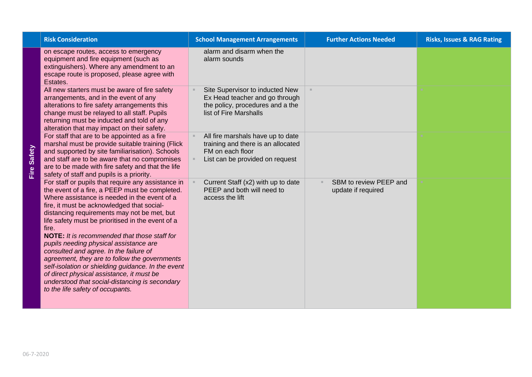| <b>Risk Consideration</b>                                                                                                                                                                                                                                                                                                                                                                                                                                                                                                                                                                                                                                                                            | <b>School Management Arrangements</b>                                                                                           | <b>Further Actions Needed</b>                | <b>Risks, Issues &amp; RAG Rating</b> |
|------------------------------------------------------------------------------------------------------------------------------------------------------------------------------------------------------------------------------------------------------------------------------------------------------------------------------------------------------------------------------------------------------------------------------------------------------------------------------------------------------------------------------------------------------------------------------------------------------------------------------------------------------------------------------------------------------|---------------------------------------------------------------------------------------------------------------------------------|----------------------------------------------|---------------------------------------|
| on escape routes, access to emergency<br>equipment and fire equipment (such as<br>extinguishers). Where any amendment to an<br>escape route is proposed, please agree with<br>Estates.                                                                                                                                                                                                                                                                                                                                                                                                                                                                                                               | alarm and disarm when the<br>alarm sounds                                                                                       |                                              |                                       |
| All new starters must be aware of fire safety<br>arrangements, and in the event of any<br>alterations to fire safety arrangements this<br>change must be relayed to all staff. Pupils<br>returning must be inducted and told of any<br>alteration that may impact on their safety.                                                                                                                                                                                                                                                                                                                                                                                                                   | Site Supervisor to inducted New<br>Ex Head teacher and go through<br>the policy, procedures and a the<br>list of Fire Marshalls |                                              |                                       |
| For staff that are to be appointed as a fire<br>marshal must be provide suitable training (Flick<br>and supported by site familiarisation). Schools<br>and staff are to be aware that no compromises<br>are to be made with fire safety and that the life<br>safety of staff and pupils is a priority.                                                                                                                                                                                                                                                                                                                                                                                               | All fire marshals have up to date<br>training and there is an allocated<br>FM on each floor<br>List can be provided on request  |                                              |                                       |
| For staff or pupils that require any assistance in<br>the event of a fire, a PEEP must be completed.<br>Where assistance is needed in the event of a<br>fire, it must be acknowledged that social-<br>distancing requirements may not be met, but<br>life safety must be prioritised in the event of a<br>fire.<br><b>NOTE:</b> It is recommended that those staff for<br>pupils needing physical assistance are<br>consulted and agree. In the failure of<br>agreement, they are to follow the governments<br>self-isolation or shielding guidance. In the event<br>of direct physical assistance, it must be<br>understood that social-distancing is secondary<br>to the life safety of occupants. | Current Staff (x2) with up to date<br>PEEP and both will need to<br>access the lift                                             | SBM to review PEEP and<br>update if required |                                       |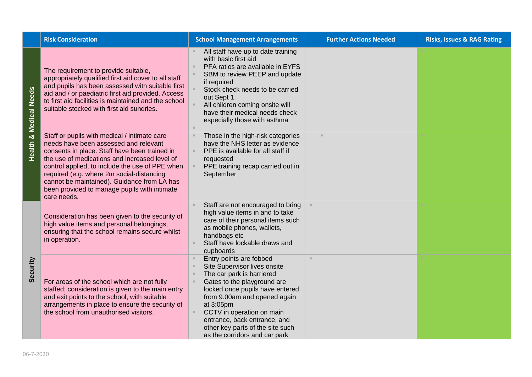|                 | <b>Risk Consideration</b>                                                                                                                                                                                                                                                                                                                                                                             | <b>School Management Arrangements</b>                                                                                                                                                                                                                                                                                                 | <b>Further Actions Needed</b> | <b>Risks, Issues &amp; RAG Rating</b> |
|-----------------|-------------------------------------------------------------------------------------------------------------------------------------------------------------------------------------------------------------------------------------------------------------------------------------------------------------------------------------------------------------------------------------------------------|---------------------------------------------------------------------------------------------------------------------------------------------------------------------------------------------------------------------------------------------------------------------------------------------------------------------------------------|-------------------------------|---------------------------------------|
| & Medical Needs | The requirement to provide suitable,<br>appropriately qualified first aid cover to all staff<br>and pupils has been assessed with suitable first<br>aid and / or paediatric first aid provided. Access<br>to first aid facilities is maintained and the school<br>suitable stocked with first aid sundries.                                                                                           | All staff have up to date training<br>with basic first aid<br>PFA ratios are available in EYFS<br>SBM to review PEEP and update<br>if required<br>Stock check needs to be carried<br>out Sept 1<br>All children coming onsite will<br>have their medical needs check<br>especially those with asthma                                  |                               |                                       |
| Health          | Staff or pupils with medical / intimate care<br>needs have been assessed and relevant<br>consents in place. Staff have been trained in<br>the use of medications and increased level of<br>control applied, to include the use of PPE when<br>required (e.g. where 2m social-distancing<br>cannot be maintained). Guidance from LA has<br>been provided to manage pupils with intimate<br>care needs. | Those in the high-risk categories<br>have the NHS letter as evidence<br>PPE is available for all staff if<br>requested<br>PPE training recap carried out in<br>September                                                                                                                                                              |                               |                                       |
|                 | Consideration has been given to the security of<br>high value items and personal belongings,<br>ensuring that the school remains secure whilst<br>in operation.                                                                                                                                                                                                                                       | Staff are not encouraged to bring<br>high value items in and to take<br>care of their personal items such<br>as mobile phones, wallets,<br>handbags etc<br>Staff have lockable draws and<br>cupboards                                                                                                                                 |                               |                                       |
| Security        | For areas of the school which are not fully<br>staffed; consideration is given to the main entry<br>and exit points to the school, with suitable<br>arrangements in place to ensure the security of<br>the school from unauthorised visitors.                                                                                                                                                         | Entry points are fobbed<br>Site Supervisor lives onsite<br>The car park is barriered<br>Gates to the playground are<br>locked once pupils have entered<br>from 9.00am and opened again<br>at 3:05pm<br>CCTV in operation on main<br>entrance, back entrance, and<br>other key parts of the site such<br>as the corridors and car park |                               |                                       |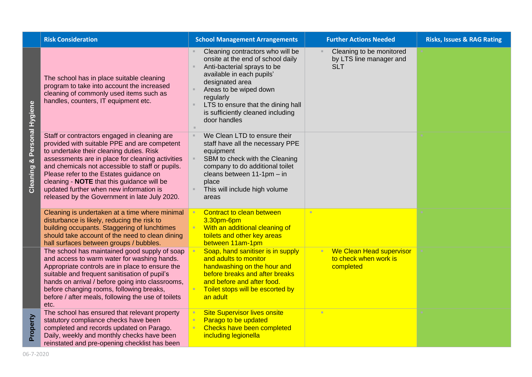|                  | <b>Risk Consideration</b>                                                                                                                                                                                                                                                                                                                                                                                                             | <b>School Management Arrangements</b>                                                                                                                                                                                                                                                  | <b>Further Actions Needed</b>                                     | <b>Risks, Issues &amp; RAG Rating</b> |
|------------------|---------------------------------------------------------------------------------------------------------------------------------------------------------------------------------------------------------------------------------------------------------------------------------------------------------------------------------------------------------------------------------------------------------------------------------------|----------------------------------------------------------------------------------------------------------------------------------------------------------------------------------------------------------------------------------------------------------------------------------------|-------------------------------------------------------------------|---------------------------------------|
| Personal Hygiene | The school has in place suitable cleaning<br>program to take into account the increased<br>cleaning of commonly used items such as<br>handles, counters, IT equipment etc.                                                                                                                                                                                                                                                            | Cleaning contractors who will be<br>onsite at the end of school daily<br>Anti-bacterial sprays to be<br>available in each pupils'<br>designated area<br>Areas to be wiped down<br>regularly<br>LTS to ensure that the dining hall<br>is sufficiently cleaned including<br>door handles | Cleaning to be monitored<br>by LTS line manager and<br><b>SLT</b> |                                       |
| ×<br>Cleaning    | Staff or contractors engaged in cleaning are<br>provided with suitable PPE and are competent<br>to undertake their cleaning duties. Risk<br>assessments are in place for cleaning activities<br>and chemicals not accessible to staff or pupils.<br>Please refer to the Estates guidance on<br>cleaning - NOTE that this guidance will be<br>updated further when new information is<br>released by the Government in late July 2020. | We Clean LTD to ensure their<br>staff have all the necessary PPE<br>equipment<br>SBM to check with the Cleaning<br>company to do additional toilet<br>cleans between 11-1pm - in<br>place<br>This will include high volume<br>areas                                                    |                                                                   |                                       |
|                  | Cleaning is undertaken at a time where minimal<br>disturbance is likely, reducing the risk to<br>building occupants. Staggering of lunchtimes<br>should take account of the need to clean dining<br>hall surfaces between groups / bubbles.                                                                                                                                                                                           | Contract to clean between<br>3.30pm-6pm<br>With an additional cleaning of<br>toilets and other key areas<br>between 11am-1pm                                                                                                                                                           |                                                                   |                                       |
|                  | The school has maintained good supply of soap<br>and access to warm water for washing hands.<br>Appropriate controls are in place to ensure the<br>suitable and frequent sanitisation of pupil's<br>hands on arrival / before going into classrooms,<br>before changing rooms, following breaks,<br>before / after meals, following the use of toilets<br>etc.                                                                        | Soap, hand sanitiser is in supply<br>and adults to monitor<br>handwashing on the hour and<br>before breaks and after breaks<br>and before and after food.<br>Toilet stops will be escorted by<br>an adult                                                                              | We Clean Head supervisor<br>to check when work is<br>completed    |                                       |
| Property         | The school has ensured that relevant property<br>statutory compliance checks have been<br>completed and records updated on Parago.<br>Daily, weekly and monthly checks have been<br>reinstated and pre-opening checklist has been                                                                                                                                                                                                     | <b>Site Supervisor lives onsite</b><br>Parago to be updated<br>Checks have been completed<br>including legionella                                                                                                                                                                      |                                                                   |                                       |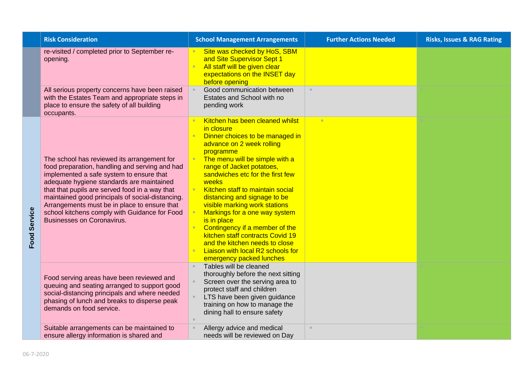|                     | <b>Risk Consideration</b>                                                                                                                                                                                                                                                                                                                                                                                                          | <b>School Management Arrangements</b>                                                                                                                                                                                                                                                                                                                                                                                                                                                                                                                                | <b>Further Actions Needed</b> | <b>Risks, Issues &amp; RAG Rating</b> |
|---------------------|------------------------------------------------------------------------------------------------------------------------------------------------------------------------------------------------------------------------------------------------------------------------------------------------------------------------------------------------------------------------------------------------------------------------------------|----------------------------------------------------------------------------------------------------------------------------------------------------------------------------------------------------------------------------------------------------------------------------------------------------------------------------------------------------------------------------------------------------------------------------------------------------------------------------------------------------------------------------------------------------------------------|-------------------------------|---------------------------------------|
|                     | re-visited / completed prior to September re-<br>opening.                                                                                                                                                                                                                                                                                                                                                                          | Site was checked by HoS, SBM<br>and Site Supervisor Sept 1<br>All staff will be given clear<br>expectations on the INSET day<br>before opening                                                                                                                                                                                                                                                                                                                                                                                                                       |                               |                                       |
|                     | All serious property concerns have been raised<br>with the Estates Team and appropriate steps in<br>place to ensure the safety of all building<br>occupants.                                                                                                                                                                                                                                                                       | Good communication between<br>Estates and School with no<br>pending work                                                                                                                                                                                                                                                                                                                                                                                                                                                                                             | $\mathbb{R}^n$                |                                       |
| <b>Food Service</b> | The school has reviewed its arrangement for<br>food preparation, handling and serving and had<br>implemented a safe system to ensure that<br>adequate hygiene standards are maintained<br>that that pupils are served food in a way that<br>maintained good principals of social-distancing.<br>Arrangements must be in place to ensure that<br>school kitchens comply with Guidance for Food<br><b>Businesses on Coronavirus.</b> | Kitchen has been cleaned whilst<br>in closure<br>Dinner choices to be managed in<br>advance on 2 week rolling<br>programme<br>The menu will be simple with a<br>range of Jacket potatoes,<br>sandwiches etc for the first few<br>weeks<br>Kitchen staff to maintain social<br>distancing and signage to be<br>visible marking work stations<br>Markings for a one way system<br>is in place<br>Contingency if a member of the<br>kitchen staff contracts Covid 19<br>and the kitchen needs to close<br>Liaison with local R2 schools for<br>emergency packed lunches | ×                             |                                       |
|                     | Food serving areas have been reviewed and<br>queuing and seating arranged to support good<br>social-distancing principals and where needed<br>phasing of lunch and breaks to disperse peak<br>demands on food service.                                                                                                                                                                                                             | Tables will be cleaned<br>thoroughly before the next sitting<br>Screen over the serving area to<br>protect staff and children<br>LTS have been given guidance<br>training on how to manage the<br>dining hall to ensure safety                                                                                                                                                                                                                                                                                                                                       |                               |                                       |
|                     | Suitable arrangements can be maintained to<br>ensure allergy information is shared and                                                                                                                                                                                                                                                                                                                                             | Allergy advice and medical<br>needs will be reviewed on Day                                                                                                                                                                                                                                                                                                                                                                                                                                                                                                          | $\mathbf{u}$                  |                                       |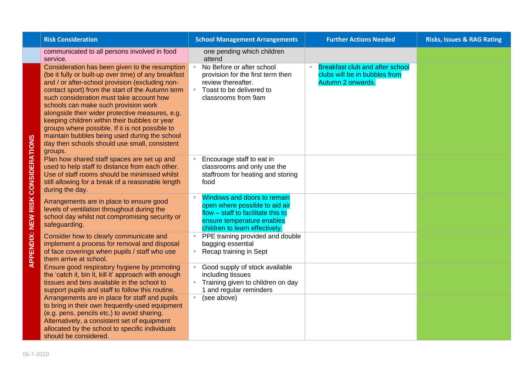| <b>Risk Consideration</b>                                                                                                                                                                                                                                                                                                                                                                                                                                                                                                                                             | <b>School Management Arrangements</b>                                                                                                                               | <b>Further Actions Needed</b>                                                                | <b>Risks, Issues &amp; RAG Rating</b> |
|-----------------------------------------------------------------------------------------------------------------------------------------------------------------------------------------------------------------------------------------------------------------------------------------------------------------------------------------------------------------------------------------------------------------------------------------------------------------------------------------------------------------------------------------------------------------------|---------------------------------------------------------------------------------------------------------------------------------------------------------------------|----------------------------------------------------------------------------------------------|---------------------------------------|
| communicated to all persons involved in food<br>service.                                                                                                                                                                                                                                                                                                                                                                                                                                                                                                              | one pending which children<br>attend                                                                                                                                |                                                                                              |                                       |
| Consideration has been given to the resumption<br>(be it fully or built-up over time) of any breakfast<br>and / or after-school provision (excluding non-<br>contact sport) from the start of the Autumn term<br>such consideration must take account how<br>schools can make such provision work<br>alongside their wider protective measures, e.g.<br>keeping children within their bubbles or year<br>groups where possible. If it is not possible to<br>maintain bubbles being used during the school<br>day then schools should use small, consistent<br>groups. | No Before or after school<br>×.<br>provision for the first term then<br>review thereafter.<br>Toast to be delivered to<br>classrooms from 9am                       | <b>Breakfast club and after school</b><br>clubs will be in bubbles from<br>Autumn 2 onwards. |                                       |
| Plan how shared staff spaces are set up and<br>used to help staff to distance from each other.<br>Use of staff rooms should be minimised whilst<br>still allowing for a break of a reasonable length<br>during the day.                                                                                                                                                                                                                                                                                                                                               | Encourage staff to eat in<br>classrooms and only use the<br>staffroom for heating and storing<br>food                                                               |                                                                                              |                                       |
| Arrangements are in place to ensure good<br>levels of ventilation throughout during the<br>school day whilst not compromising security or<br>safeguarding.                                                                                                                                                                                                                                                                                                                                                                                                            | Windows and doors to remain<br>open where possible to aid air<br>flow - staff to facilitate this to<br>ensure temperature enables<br>children to learn effectively. |                                                                                              |                                       |
| Consider how to clearly communicate and<br>implement a process for removal and disposal<br>of face coverings when pupils / staff who use<br>them arrive at school.                                                                                                                                                                                                                                                                                                                                                                                                    | PPE training provided and double<br>bagging essential<br>Recap training in Sept<br>Ξ.                                                                               |                                                                                              |                                       |
| Ensure good respiratory hygiene by promoting<br>the 'catch it, bin it, kill it' approach with enough<br>tissues and bins available in the school to<br>support pupils and staff to follow this routine.                                                                                                                                                                                                                                                                                                                                                               | Good supply of stock available<br>including tissues<br>Training given to children on day<br>1 and regular reminders                                                 |                                                                                              |                                       |
| Arrangements are in place for staff and pupils<br>to bring in their own frequently-used equipment<br>(e.g. pens, pencils etc.) to avoid sharing.<br>Alternatively, a consistent set of equipment<br>allocated by the school to specific individuals<br>should be considered.                                                                                                                                                                                                                                                                                          | (see above)<br>u.                                                                                                                                                   |                                                                                              |                                       |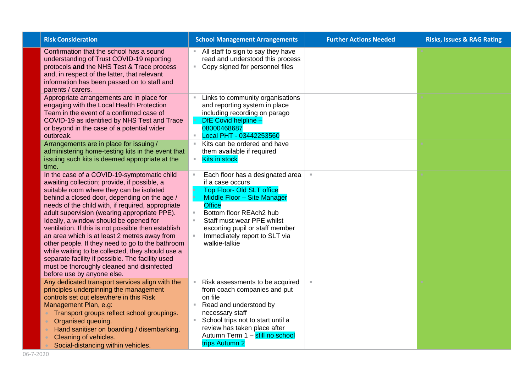| <b>Risk Consideration</b>                                                                                                                                                                                                                                                                                                                                                                                                                                                                                                                                                                                                                                                             | <b>School Management Arrangements</b>                                                                                                                                                                                                                                                                                      | <b>Further Actions Needed</b> | <b>Risks, Issues &amp; RAG Rating</b> |
|---------------------------------------------------------------------------------------------------------------------------------------------------------------------------------------------------------------------------------------------------------------------------------------------------------------------------------------------------------------------------------------------------------------------------------------------------------------------------------------------------------------------------------------------------------------------------------------------------------------------------------------------------------------------------------------|----------------------------------------------------------------------------------------------------------------------------------------------------------------------------------------------------------------------------------------------------------------------------------------------------------------------------|-------------------------------|---------------------------------------|
| Confirmation that the school has a sound<br>understanding of Trust COVID-19 reporting<br>protocols and the NHS Test & Trace process<br>and, in respect of the latter, that relevant<br>information has been passed on to staff and<br>parents / carers.                                                                                                                                                                                                                                                                                                                                                                                                                               | All staff to sign to say they have<br>read and understood this process<br>Copy signed for personnel files<br>$\mathbb{R}^n$                                                                                                                                                                                                |                               |                                       |
| Appropriate arrangements are in place for<br>engaging with the Local Health Protection<br>Team in the event of a confirmed case of<br>COVID-19 as identified by NHS Test and Trace<br>or beyond in the case of a potential wider<br>outbreak.<br>Arrangements are in place for issuing /<br>administering home-testing kits in the event that<br>issuing such kits is deemed appropriate at the<br>time.                                                                                                                                                                                                                                                                              | Links to community organisations<br>and reporting system in place<br>including recording on parago<br>DfE Covid helpline -<br>08000468687<br>Local PHT - 03442253560<br>$\mathbb{R}^n$<br>Kits can be ordered and have<br>them available if required<br><b>Kits in stock</b><br>$\mathbb{R}^n$                             |                               |                                       |
| In the case of a COVID-19-symptomatic child<br>awaiting collection; provide, if possible, a<br>suitable room where they can be isolated<br>behind a closed door, depending on the age /<br>needs of the child with, if required, appropriate<br>adult supervision (wearing appropriate PPE).<br>Ideally, a window should be opened for<br>ventilation. If this is not possible then establish<br>an area which is at least 2 metres away from<br>other people. If they need to go to the bathroom<br>while waiting to be collected, they should use a<br>separate facility if possible. The facility used<br>must be thoroughly cleaned and disinfected<br>before use by anyone else. | Each floor has a designated area<br>if a case occurs<br><b>Top Floor- Old SLT office</b><br>Middle Floor - Site Manager<br><b>Office</b><br>Bottom floor REAch2 hub<br>$\mathbb{R}^d$<br>Staff must wear PPE whilst<br>$\mathbb{R}^d$<br>escorting pupil or staff member<br>Immediately report to SLT via<br>walkie-talkie | $\mathbb{R}^d$                |                                       |
| Any dedicated transport services align with the<br>principles underpinning the management<br>controls set out elsewhere in this Risk<br>Management Plan, e.g:<br>Transport groups reflect school groupings.<br>Organised queuing.<br>$\bullet$<br>Hand sanitiser on boarding / disembarking.<br>Cleaning of vehicles.<br>Social-distancing within vehicles.                                                                                                                                                                                                                                                                                                                           | Risk assessments to be acquired<br>from coach companies and put<br>on file<br>Read and understood by<br>necessary staff<br>School trips not to start until a<br>review has taken place after<br>Autumn Term 1 - still no school<br>trips Autumn 2                                                                          |                               |                                       |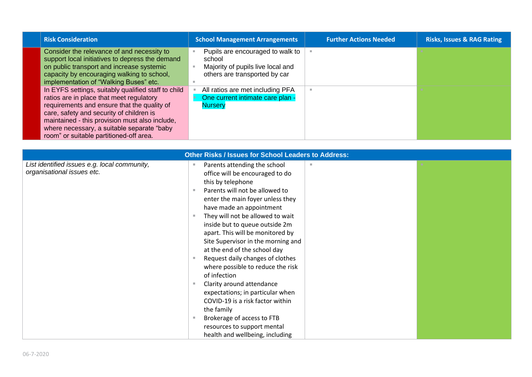| <b>Risk Consideration</b>                                                                                                                                                                                                                                                                                                             | <b>School Management Arrangements</b>                                                                            | <b>Further Actions Needed</b> | <b>Risks, Issues &amp; RAG Rating</b> |
|---------------------------------------------------------------------------------------------------------------------------------------------------------------------------------------------------------------------------------------------------------------------------------------------------------------------------------------|------------------------------------------------------------------------------------------------------------------|-------------------------------|---------------------------------------|
| Consider the relevance of and necessity to<br>support local initiatives to depress the demand<br>on public transport and increase systemic<br>capacity by encouraging walking to school,<br>implementation of "Walking Buses" etc.                                                                                                    | Pupils are encouraged to walk to<br>school<br>Majority of pupils live local and<br>others are transported by car |                               |                                       |
| In EYFS settings, suitably qualified staff to child<br>ratios are in place that meet regulatory<br>requirements and ensure that the quality of<br>care, safety and security of children is<br>maintained - this provision must also include.<br>where necessary, a suitable separate "baby<br>room" or suitable partitioned-off area. | All ratios are met including PFA<br>One current intimate care plan -<br><b>Nursery</b>                           | ٠                             |                                       |

| <b>Other Risks / Issues for School Leaders to Address:</b>                 |                                                                                                        |  |  |
|----------------------------------------------------------------------------|--------------------------------------------------------------------------------------------------------|--|--|
| List identified issues e.g. local community,<br>organisational issues etc. | Parents attending the school<br>m<br>office will be encouraged to do<br>this by telephone              |  |  |
|                                                                            | Parents will not be allowed to<br>enter the main foyer unless they<br>have made an appointment         |  |  |
|                                                                            | They will not be allowed to wait<br>inside but to queue outside 2m<br>apart. This will be monitored by |  |  |
|                                                                            | Site Supervisor in the morning and<br>at the end of the school day<br>Request daily changes of clothes |  |  |
|                                                                            | where possible to reduce the risk<br>of infection<br>Clarity around attendance                         |  |  |
|                                                                            | expectations; in particular when<br>COVID-19 is a risk factor within                                   |  |  |
|                                                                            | the family<br>Brokerage of access to FTB<br>resources to support mental                                |  |  |
|                                                                            | health and wellbeing, including                                                                        |  |  |